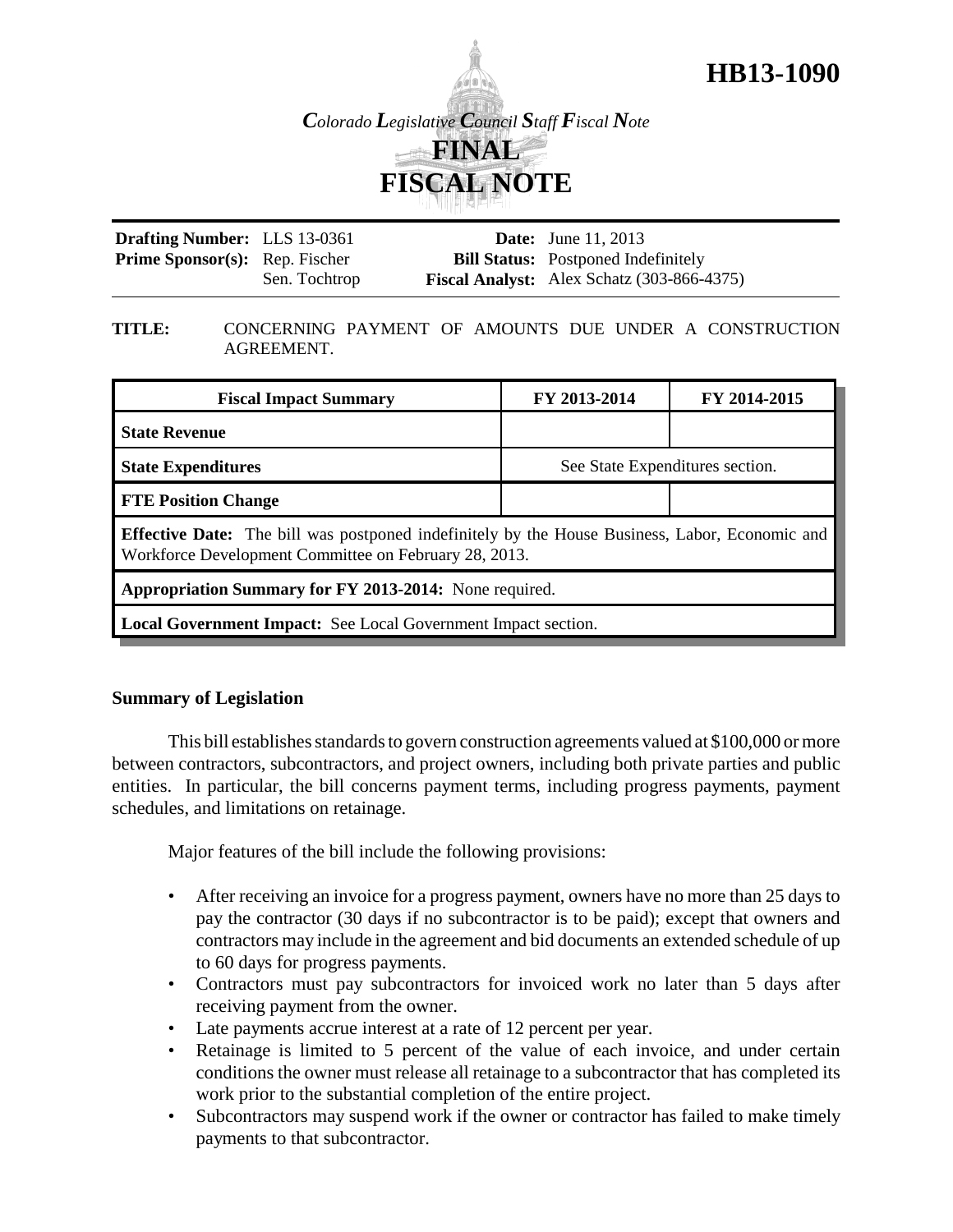



| <b>Drafting Number:</b> LLS 13-0361   |               | <b>Date:</b> June 11, 2013                          |
|---------------------------------------|---------------|-----------------------------------------------------|
| <b>Prime Sponsor(s):</b> Rep. Fischer |               | <b>Bill Status:</b> Postponed Indefinitely          |
|                                       | Sen. Tochtrop | <b>Fiscal Analyst:</b> Alex Schatz $(303-866-4375)$ |

#### **TITLE:** CONCERNING PAYMENT OF AMOUNTS DUE UNDER A CONSTRUCTION AGREEMENT.

| <b>Fiscal Impact Summary</b>                                                                                                                                   | FY 2013-2014                    | FY 2014-2015 |  |  |  |
|----------------------------------------------------------------------------------------------------------------------------------------------------------------|---------------------------------|--------------|--|--|--|
| <b>State Revenue</b>                                                                                                                                           |                                 |              |  |  |  |
| <b>State Expenditures</b>                                                                                                                                      | See State Expenditures section. |              |  |  |  |
| <b>FTE Position Change</b>                                                                                                                                     |                                 |              |  |  |  |
| <b>Effective Date:</b> The bill was postponed indefinitely by the House Business, Labor, Economic and<br>Workforce Development Committee on February 28, 2013. |                                 |              |  |  |  |
| Appropriation Summary for FY 2013-2014: None required.                                                                                                         |                                 |              |  |  |  |
| <b>Local Government Impact:</b> See Local Government Impact section.                                                                                           |                                 |              |  |  |  |

## **Summary of Legislation**

This bill establishes standards to govern construction agreements valued at \$100,000 or more between contractors, subcontractors, and project owners, including both private parties and public entities. In particular, the bill concerns payment terms, including progress payments, payment schedules, and limitations on retainage.

Major features of the bill include the following provisions:

- After receiving an invoice for a progress payment, owners have no more than 25 days to pay the contractor (30 days if no subcontractor is to be paid); except that owners and contractors may include in the agreement and bid documents an extended schedule of up to 60 days for progress payments.
- Contractors must pay subcontractors for invoiced work no later than 5 days after receiving payment from the owner.
- Late payments accrue interest at a rate of 12 percent per year.
- Retainage is limited to 5 percent of the value of each invoice, and under certain conditions the owner must release all retainage to a subcontractor that has completed its work prior to the substantial completion of the entire project.
- Subcontractors may suspend work if the owner or contractor has failed to make timely payments to that subcontractor.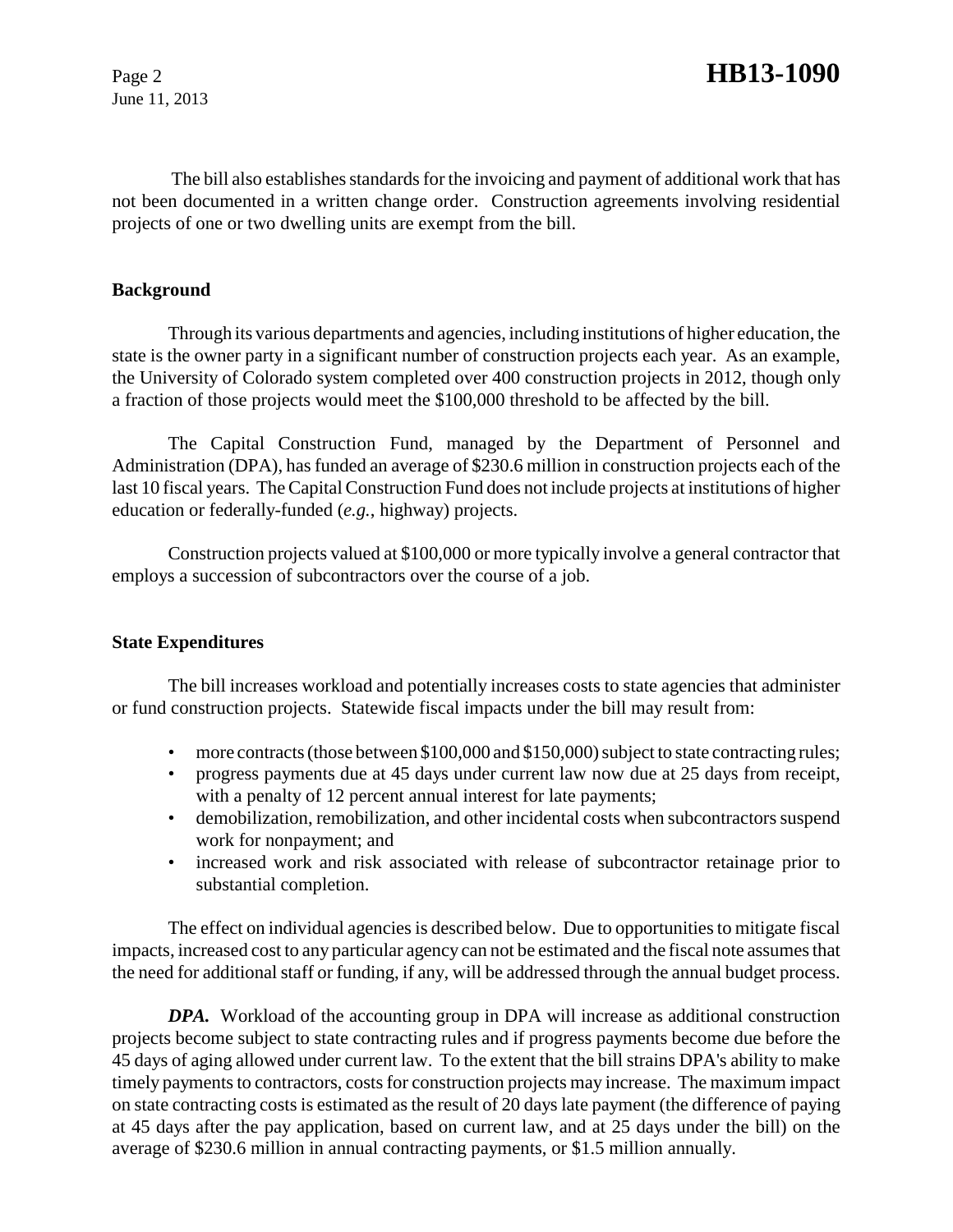June 11, 2013

 The bill also establishes standards for the invoicing and payment of additional work that has not been documented in a written change order. Construction agreements involving residential projects of one or two dwelling units are exempt from the bill.

## **Background**

Through its various departments and agencies, including institutions of higher education, the state is the owner party in a significant number of construction projects each year. As an example, the University of Colorado system completed over 400 construction projects in 2012, though only a fraction of those projects would meet the \$100,000 threshold to be affected by the bill.

The Capital Construction Fund, managed by the Department of Personnel and Administration (DPA), has funded an average of \$230.6 million in construction projects each of the last 10 fiscal years. The Capital Construction Fund does not include projects at institutions of higher education or federally-funded (*e.g.*, highway) projects.

Construction projects valued at \$100,000 or more typically involve a general contractor that employs a succession of subcontractors over the course of a job.

## **State Expenditures**

The bill increases workload and potentially increases costs to state agencies that administer or fund construction projects. Statewide fiscal impacts under the bill may result from:

- more contracts (those between \$100,000 and \$150,000) subject to state contracting rules;
- progress payments due at 45 days under current law now due at 25 days from receipt, with a penalty of 12 percent annual interest for late payments;
- demobilization, remobilization, and other incidental costs when subcontractors suspend work for nonpayment; and
- increased work and risk associated with release of subcontractor retainage prior to substantial completion.

The effect on individual agencies is described below. Due to opportunities to mitigate fiscal impacts, increased cost to any particular agency can not be estimated and the fiscal note assumes that the need for additional staff or funding, if any, will be addressed through the annual budget process.

*DPA.* Workload of the accounting group in DPA will increase as additional construction projects become subject to state contracting rules and if progress payments become due before the 45 days of aging allowed under current law. To the extent that the bill strains DPA's ability to make timely payments to contractors, costs for construction projects may increase. The maximum impact on state contracting costs is estimated as the result of 20 days late payment (the difference of paying at 45 days after the pay application, based on current law, and at 25 days under the bill) on the average of \$230.6 million in annual contracting payments, or \$1.5 million annually.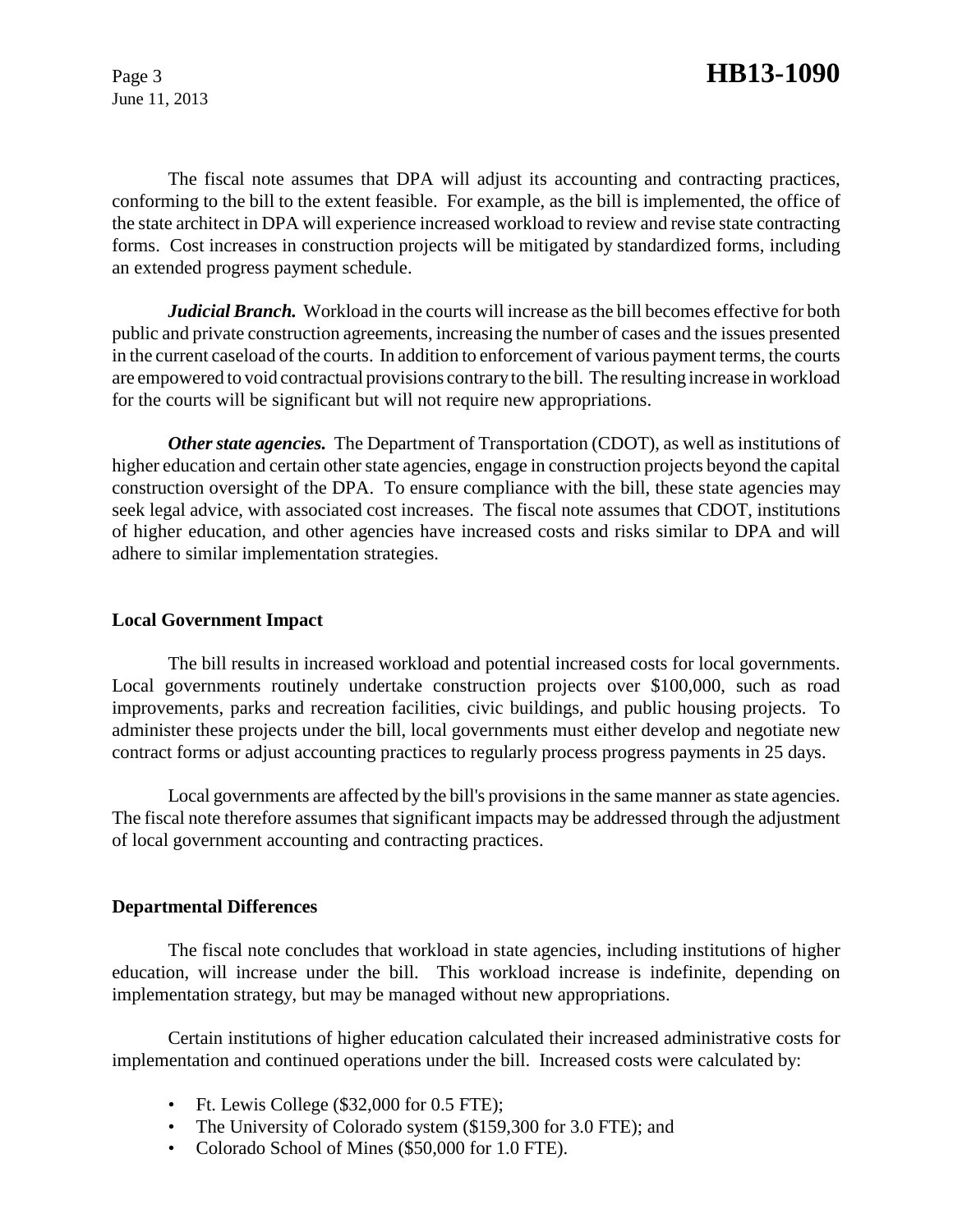June 11, 2013

The fiscal note assumes that DPA will adjust its accounting and contracting practices, conforming to the bill to the extent feasible. For example, as the bill is implemented, the office of the state architect in DPA will experience increased workload to review and revise state contracting forms. Cost increases in construction projects will be mitigated by standardized forms, including an extended progress payment schedule.

*Judicial Branch.* Workload in the courts will increase as the bill becomes effective for both public and private construction agreements, increasing the number of cases and the issues presented in the current caseload of the courts. In addition to enforcement of various payment terms, the courts are empowered to void contractual provisions contrary to the bill. The resulting increase in workload for the courts will be significant but will not require new appropriations.

*Other state agencies.* The Department of Transportation (CDOT), as well as institutions of higher education and certain other state agencies, engage in construction projects beyond the capital construction oversight of the DPA. To ensure compliance with the bill, these state agencies may seek legal advice, with associated cost increases. The fiscal note assumes that CDOT, institutions of higher education, and other agencies have increased costs and risks similar to DPA and will adhere to similar implementation strategies.

## **Local Government Impact**

The bill results in increased workload and potential increased costs for local governments. Local governments routinely undertake construction projects over \$100,000, such as road improvements, parks and recreation facilities, civic buildings, and public housing projects. To administer these projects under the bill, local governments must either develop and negotiate new contract forms or adjust accounting practices to regularly process progress payments in 25 days.

Local governments are affected by the bill's provisions in the same manner as state agencies. The fiscal note therefore assumes that significant impacts may be addressed through the adjustment of local government accounting and contracting practices.

#### **Departmental Differences**

The fiscal note concludes that workload in state agencies, including institutions of higher education, will increase under the bill. This workload increase is indefinite, depending on implementation strategy, but may be managed without new appropriations.

Certain institutions of higher education calculated their increased administrative costs for implementation and continued operations under the bill. Increased costs were calculated by:

- Ft. Lewis College (\$32,000 for 0.5 FTE);
- The University of Colorado system (\$159,300 for 3.0 FTE); and
- Colorado School of Mines (\$50,000 for 1.0 FTE).